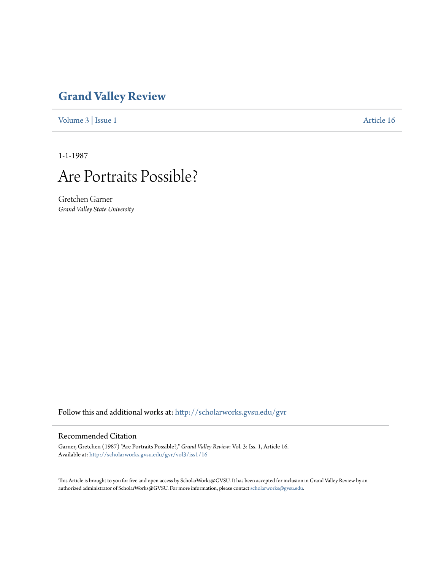# **[Grand Valley Review](http://scholarworks.gvsu.edu/gvr?utm_source=scholarworks.gvsu.edu%2Fgvr%2Fvol3%2Fiss1%2F16&utm_medium=PDF&utm_campaign=PDFCoverPages)**

[Volume 3](http://scholarworks.gvsu.edu/gvr/vol3?utm_source=scholarworks.gvsu.edu%2Fgvr%2Fvol3%2Fiss1%2F16&utm_medium=PDF&utm_campaign=PDFCoverPages) | [Issue 1](http://scholarworks.gvsu.edu/gvr/vol3/iss1?utm_source=scholarworks.gvsu.edu%2Fgvr%2Fvol3%2Fiss1%2F16&utm_medium=PDF&utm_campaign=PDFCoverPages) [Article 16](http://scholarworks.gvsu.edu/gvr/vol3/iss1/16?utm_source=scholarworks.gvsu.edu%2Fgvr%2Fvol3%2Fiss1%2F16&utm_medium=PDF&utm_campaign=PDFCoverPages)

1-1-1987



Gretchen Garner *Grand Valley State University*

Follow this and additional works at: [http://scholarworks.gvsu.edu/gvr](http://scholarworks.gvsu.edu/gvr?utm_source=scholarworks.gvsu.edu%2Fgvr%2Fvol3%2Fiss1%2F16&utm_medium=PDF&utm_campaign=PDFCoverPages)

### Recommended Citation

Garner, Gretchen (1987) "Are Portraits Possible?," *Grand Valley Review*: Vol. 3: Iss. 1, Article 16. Available at: [http://scholarworks.gvsu.edu/gvr/vol3/iss1/16](http://scholarworks.gvsu.edu/gvr/vol3/iss1/16?utm_source=scholarworks.gvsu.edu%2Fgvr%2Fvol3%2Fiss1%2F16&utm_medium=PDF&utm_campaign=PDFCoverPages)

This Article is brought to you for free and open access by ScholarWorks@GVSU. It has been accepted for inclusion in Grand Valley Review by an authorized administrator of ScholarWorks@GVSU. For more information, please contact [scholarworks@gvsu.edu.](mailto:scholarworks@gvsu.edu)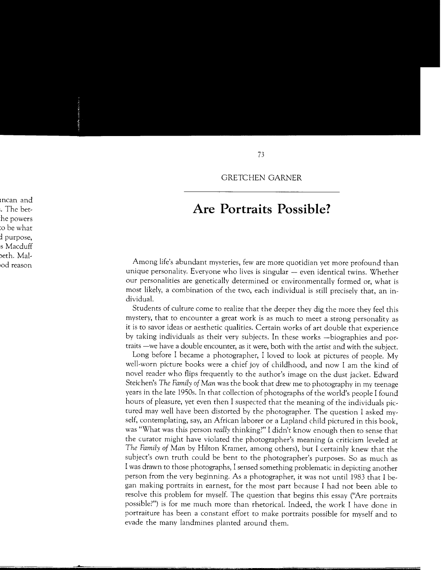GRETCHEN GARNER

## **Are Portraits Possible?**

Among life's abundant mysteries, few are more quotidian yet more profound than unique personality. Everyone who lives is singular - even identical twins. Whether our personalities are genetically determined or environmentally formed or, what is most likely, a combination of the two, each individual is still precisely that, an individual.

Students of culture come to realize that the deeper they dig the more they feel this mystery, that to encounter a great work is as much to meet a strong personality as it is to savor ideas or aesthetic qualities. Certain works of art double that experience by taking individuals as their very subjects. In these works -biographies and portraits -we have a double encounter, as it were, both with the artist and with the subject.

Long before I became a photographer, I loved to look at pictures of people. My well-worn picture books were a chief joy of childhood, and now I am the kind of novel reader who flips frequently to the author's image on the dust jacket. Edward Steichen's *The Family of Man* was the book that drew me to photography in my teenage years in the late 1950s. In that collection of photographs of the world's people I found hours of pleasure, yet even then I suspected that the meaning of the individuals pictured may well have been distorted by the photographer. The question I asked myself, contemplating, say, an African laborer or a Lapland child pictured in this book, was "What was this person *really* thinking?" I didn't know enough then to sense that the curator might have violated the photographer's meaning (a criticism leveled at *The Family of Man* by Hilton Kramer, among others), but I certainly knew that the subject's own truth could be bent to the photographer's purposes. So as much as I was drawn to those photographs, I sensed something problematic in depicting another person from the very beginning. As a photographer, it was not until 1983 that I began making portraits in earnest, for the most part because I had not been able to resolve this problem for myself. The question that begins this essay ("Are portraits possible?") is for me much more than rhetorical. Indeed, the work I have done in portraiture has been a constant effort to make portraits possible for myself and to evade the many landmines planted around them.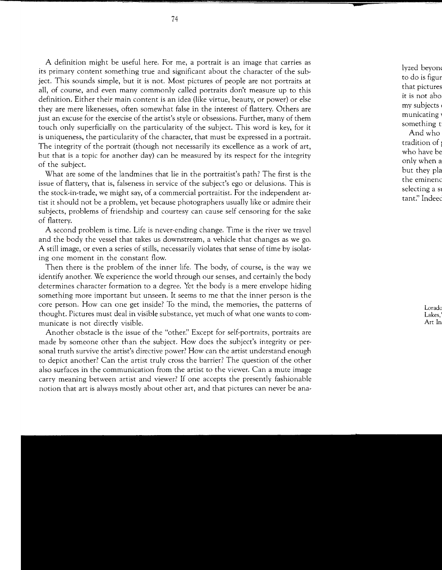A definition might be useful here. For me, a portrait is an image that carries as its primary content something true and significant about the character of the subject. This sounds simple, but it is not. Most pictures of people are not portraits at all, of course, and even many commonly called portraits don't measure up to this definition. Either their main content is an idea (like virtue, beauty, or power) or else they are mere likenesses, often somewhat false in the interest of flattery. Others are just an excuse for the exercise of the artist's style or obsessions. Further, many of them touch only superficially on the particularity of the subject. This word is key, for it is uniqueness, the particularity of the character, that must be expressed in a portrait. The integrity of the portrait (though not necessarily its excellence as a work of art, but that is a topic for another day) can be measured by its respect for the integrity of the subject.

What are some of the landmines that lie in the portraitist's path? The first is the issue of flattery, that is, falseness in service of the subject's ego or delusions. This is the stock-in-trade, we might say, of a commercial portraitist. For the independent artist it should not be a problem, yet because photographers usually like or admire their subjects, problems of friendship and courtesy can cause self censoring for the sake of flattery.

A second problem is time. Life is never-ending change. Time is the river we travel and the body the vessel that takes us downstream, a vehicle that changes as we go. A still image, or even a series of stills, necessarily violates that sense of time by isolating one moment in the constant flow.

Then there is the problem of the inner life. The body, of course, is the way we identify another. We experience the world through our senses, and certainly the body determines character formation to a degree. Yet the body is a mere envelope hiding something more important but unseen. It seems to me that the inner person is the core person. How can one get inside? To the mind, the memories, the patterns of thought. Pictures must deal in visible substance, yet much of what one wants to communicate is not directly visible.

Another obstacle is the issue of the "other?' Except for self-portraits, portraits are made by someone other than the subject. How does the subject's integrity or personal truth survive the artist's directive power? How can the artist understand enough to depict another? Can the artist truly cross the barrier? The question of the other also surfaces in the communication from the artist to the viewer. Can a mute image carry meaning between artist and viewer? If one accepts the presently fashionable notion that art is always mostly about other art, and that pictures can never be ana-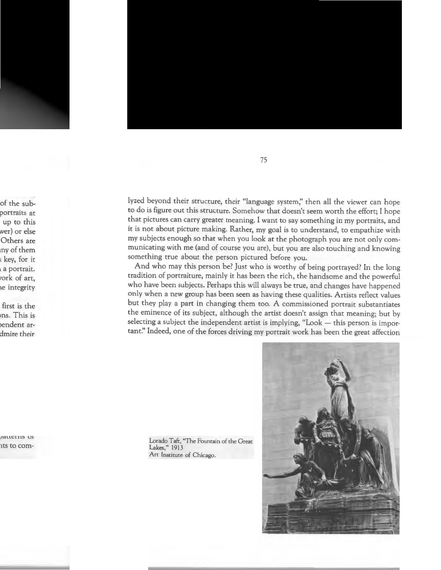lyzed beyond their structure, their "language system;' then all the viewer can hope to do is figure out this structure. Somehow that doesn't seem worth the effort; I hope that pictures can carry greater meaning. I want to say something in my portraits, and it is not about picture making. Rather, my goal is to understand, to empathize with my subjects enough so that when you look at the photograph you are not only communicating with me (and of course you are), but you are also touching and knowing something true about the person pictured before you.

And who may this person be? Just who is worthy of being portrayed? In the long tradition of portraiture, mainly it has been the rich, the handsome and the powerful who have been subjects. Perhaps this will always be true, and changes have happened only when a new group has been seen as having these qualities. Artists reflect values but they play a part in changing them too. A commissioned portrait substantiates the eminence of its subject, although the artist doesn't assign that meaning; but by selecting a subject the independent artist is implying, "Look - this person is important:' Indeed, one of the forces driving my portrait work has been the great affection

Lorado Taft, "The Fountain of the Great Lakes," 1913 Art Institute of Chicago.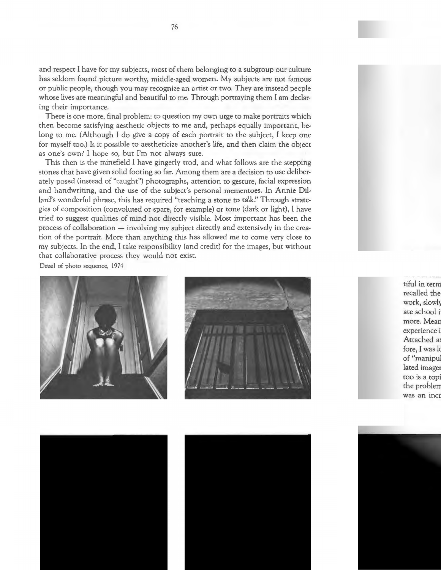and respect I have for my subjects, most of them belonging to a subgroup our culture has seldom found picture worthy, middle-aged women. My subjects are not famous or public people, though you may recognize an artist or two. They are instead people whose lives are meaningful and beautiful to me. Through portraying them I am declaring their importance.

There is one more, final problem: to question my own urge to make portraits which then become satisfying aesthetic objects to me and, perhaps equally important, belong to me. (Although I do give a copy of each portrait to the subject, I keep one for myself too.) Is it possible to aestheticize another's life, and then claim the object as one's own? I hope so, but I'm not always sure.

This then is the minefield I have gingerly trod, and what follows are the stepping stones that have given solid footing so far. Among them are a decision to use deliberately posed (instead of "caught") photographs, attention to gesture, facial expression and handwriting, and the use of the subject's personal mementoes. In Annie Dillard's wonderful phrase, this has required "teaching a stone to talk:' Through strategies of composition (convoluted or spare, for example) or tone (dark or light), I have tried to suggest qualities of mind not directly visible. Most important has been the process of collaboration - involving my subject directly and extensively in the creation of the portrait. More than anything this has allowed me to come very close to my subjects. In the end, I take responsibility (and credit) for the images, but without that collaborative process they would not exist.

Detail of photo sequence, 1974



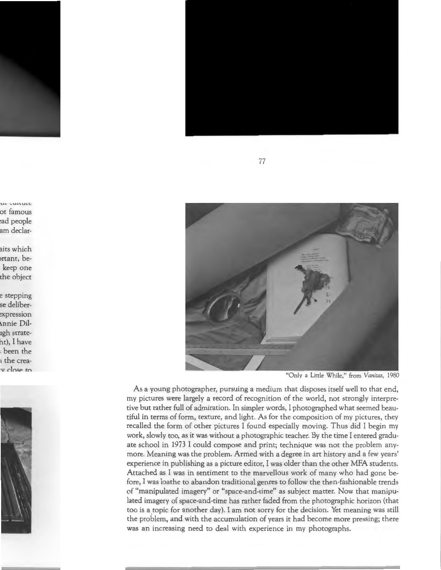

"Only a Little While," from *Vanitas,* 1980

As a young photographer, pursuing a medium that disposes itself well to that end, my pictures were largely a record of recognition of the world, not strongly interpretive but rather full of admiration. In simpler words, I photographed what seemed beautiful in terms of form, texture, and light. As for the composition of my pictures, they recalled the form of other pictures I found especially moving. Thus did I begin my work, slowly too, as it was without a photographic teacher. By the time I entered graduate school in 1973 I could compose and print; technique was not the problem anymore. Meaning was the problem. Armed with a degree in art history and a few years' experience in publishing as a picture editor, I was older than the other MFA students. Attached as I was in sentiment to the marvellous work of many who had gone before, I was loathe to abandon traditional genres to follow the then-fashionable trends of "manipulated imagery" or "space-and-time" as subject matter. Now that manipulated imagery of space-and-time has rather faded from the photographic horizon (that too is a topic for another day). I am not sorry for the decision. Yet meaning was still the problem, and with the accumulation of years it had become more pressing; there was an increasing need to deal with experience in my photographs.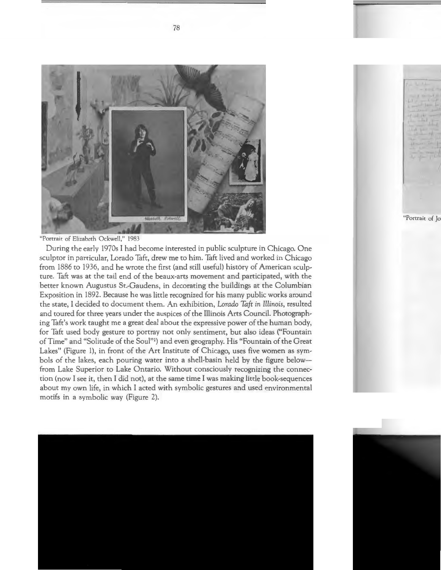

"Portrait of Elizabeth Ockwell," 1983

During the early 1970s I had become interested in public sculpture in Chicago. One sculptor in particular, Lorado Taft, drew me to him. Taft lived and worked in Chicago from 1886 to 1936, and he wrote the first (and still useful) history of American sculpture. Taft was at the tail end of the beaux-arts movement and participated, with the better known Augustus St.-Gaudens, in decorating the buildings at the Columbian Exposition in 1892. Because he was little recognized for his many public works around the state, I decided to document them. An exhibition, *Lorado Taft in Illinois,* resulted and toured for three years under the auspices of the Illinois Arts Council. Photographing Taft's work taught me a great deal about the expressive power of the human body, for Taft used body gesture to portray not only sentiment, but also ideas ("Fountain of Time" and "Solitude of the Soul"') and even geography. His "Fountain of the Great Lakes" (Figure 1), in front of the Art Institute of Chicago, uses five women as symbols of the lakes, each pouring water into a shell-basin held by the figure belowfrom Lake Superior to Lake Ontario. Without consciously recognizing the connection (now I see it, then I did not), at the same time I was making little book-sequences about my own life, in which I acted with symbolic gestures and used environmental motifs in a symbolic way (Figure 2).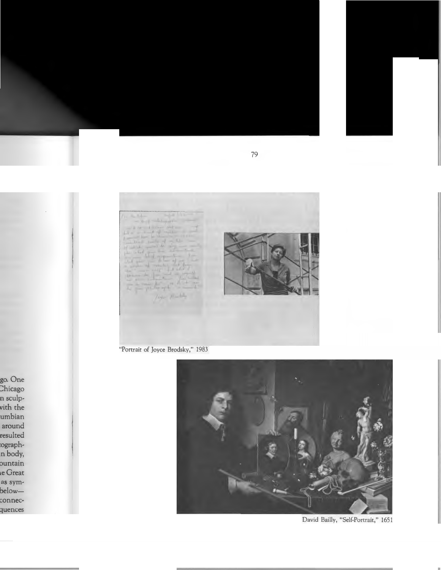**Print** Little  $-14 -$ 

"Portrait of Joyce Brodsky," 1983



David Bailly, "Self-Portrait," 1651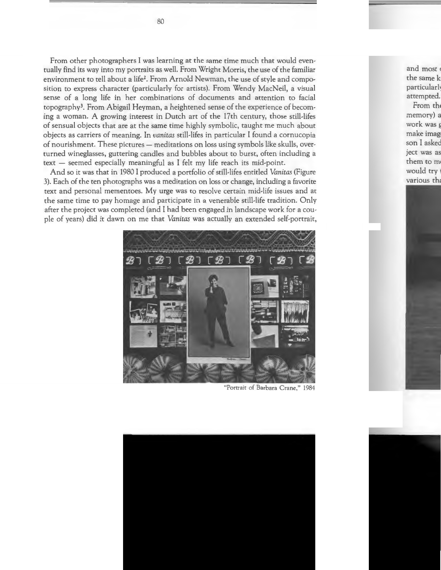From other photographers I was learning at the same time much that would eventually find its way into my portraits as well. From Wright Morris, the use of the familiar environment to tell about a *life2•* From Arnold Newman, the use of style and composition to express character (particularly for artists). From Wendy MacNeil, a visual sense of a long life in her combinations of documents and attention to facial topography3• From Abigail Heyman, a heightened sense of the experience of becoming a woman. A growing interest in Dutch art of the 17th century, those still-lifes of sensual objects that are at the same time highly symbolic, taught me much about objects as carriers of meaning. In *vanitas* still-lifes in particular I found a cornucopia of nourishment. These pictures - meditations on loss using symbols like skulls, overturned wineglasses, guttering candles and bubbles about to burst, often including a  $text - seemed especially meaningful as I felt my life reach its mid-point.$ 

And so it was that in 1980 I produced a portfolio of still-lifes entitled *Vanitas* (Figure 3). Each of the ten photographs was a meditation on loss or change, including a favorite text and personal mementoes. My urge was to resolve certain mid-life issues and at the same time to pay homage and participate in a venerable still-life tradition. Only after the project was completed (and I had been engaged in landscape work for a couple of years) did it dawn on me that *Vanitas* was actually an extended self-portrait,



"Portrait of Barbara Crane," 1984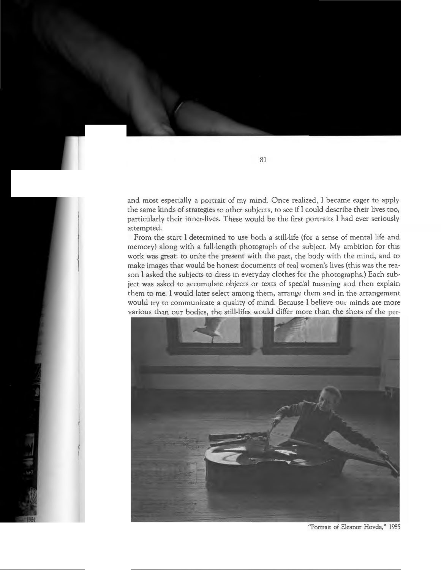and most especially a portrait of my mind. Once realized, I became eager to apply the same kinds of strategies to other subjects, to see if I could describe their lives too, particularly their inner-lives. These would be the first portraits I had ever seriously attempted.

From the start I determined to use both a still-life (for a sense of mental life and memory) along with a full-length photograph of the subject. My ambition for this work was great: to unite the present with the past, the body with the mind, and to make images that would be honest documents of real women's lives (this was the reason I asked the subjects to dress in everyday clothes for the photographs.) Each subject was asked to accumulate objects or texts of special meaning and then explain them to me. I would later select among them, arrange them and in the arrangement would try to communicate a quality of mind. Because I believe our minds are more various than our bodies, the still-lifes would differ more than the shots of the per-



"Portrait of Eleanor Hovda," 1985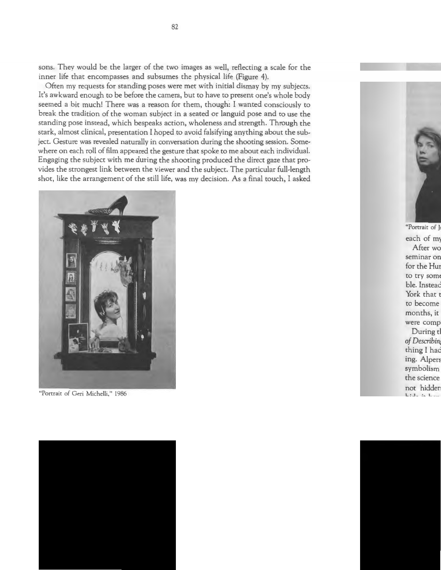sons. They would be the larger of the two images as well, reflecting a scale for the inner life that encompasses and subsumes the physical life (Figure 4).

Often my requests for standing poses were met with initial dismay by my subjects. It's awkward enough to be before the camera, but to have to present one's whole body seemed a bit much! There was a reason for them, though: I wanted consciously to break the tradition of the woman subject in a seated or languid pose and to use the standing pose instead, which bespeaks action, wholeness and strength. Through the stark, almost clinical, presentation I hoped to avoid falsifying anything about the subject. Gesture was revealed naturally in conversation during the shooting session. Somewhere on each roll of film appeared the gesture that spoke to me about each individual. Engaging the subject with me during the shooting produced the direct gaze that provides the strongest link between the viewer and the subject. The particular full-length shot, like the arrangement of the still life, was my decision. As a final touch, I asked



"Portrait of Geri Michelli," 1986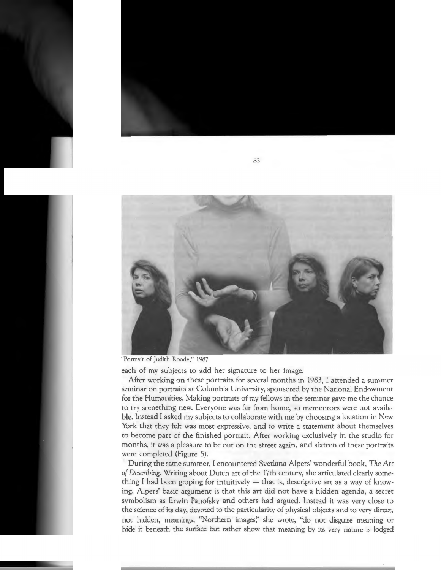

"Portrait of Judith Roode," 1987

each of my subjects to add her signature to her image.

After working on these portraits for several months in 1983, I attended a summer seminar on portraits at Columbia University, sponsored by the National Endowment for the Humanities. Making portraits of my fellows in the seminar gave me the chance to try something new. Everyone was far from home, so mementoes were not available. Instead I asked my subjects to collaborate with me by choosing a location in New York that they felt was most expressive, and to write a statement about themselves to become part of the finished portrait. After working exclusively in the studio for months, it was a pleasure to be out on the street again, and sixteen of these portraits were completed (Figure 5).

During the same summer, I encountered Svetlana Alpers' wonderful book, *The Art of Describing.* Writing about Dutch art of the 17th century, she articulated clearly something I had been groping for intuitively  $-$  that is, descriptive art as a way of knowing. Alpers' basic argument is that this art did not have a hidden agenda, a secret symbolism as Erwin Panofsky and others had argued. Instead it was very close to the science of its day, devoted to the particularity of physical objects and to very direct, not hidden, meanings, "Northern images;' she wrote, "do not disguise meaning or hide it beneath the surface but rather show that meaning by its very nature is lodged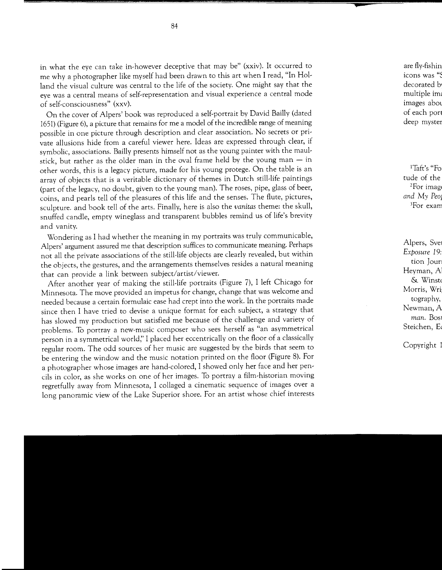in what the eye can take in-however deceptive that may be" (xxiv). It occurred to me why a photographer like myself had been drawn to this art when I read, "In Holland the visual culture was central to the life of the society. One might say that the eye was a central means of self-representation and visual experience a central mode of self-consciousness" (xxv).

On the cover of Alpers' book was reproduced a self-portrait by David Bailly (dated 1651) (Figure 6), a picture that remains for me a model of the incredible range of meaning possible in one picture through description and clear association. No secrets or private allusions hide from a careful viewer here. Ideas are expressed through clear, if symbolic, associations. Bailly presents himself not as the young painter with the maulstick, but rather as the older man in the oval frame held by the young man  $-$  in other words, this is a legacy picture, made for his young protege. On the table is an array of objects that is a veritable dictionary of themes in Dutch still-life paintings (part of the legacy, no doubt, given to the young man). The roses, pipe, glass of beer, coins, and pearls tell of the pleasures of this life and the senses. The flute, pictures, sculpture. and book tell of the arts. Finally, here is also the *vanitas* theme: the skull, snuffed candle, empty wineglass and transparent bubbles remind us of life's brevity and vanity.

Wondering as I had whether the meaning in my portraits was truly communicable, Alpers' argument assured me that description suffices to communicate meaning. Perhaps not all the private associations of the still-life objects are clearly revealed, but within the objects, the gestures, and the arrangements themselves resides a natural meaning that can provide a link between subject/artist/viewer.

After another year of making the still-life portraits (Figure 7), I left Chicago for Minnesota. The move provided an impetus for change, change that was welcome and needed because a certain formulaic ease had crept into the work. In the portraits made since then I have tried to devise a unique format for each subject, a strategy that has slowed my production but satisfied me because of the challenge and variety of problems. To portray a new-music composer who sees herself as "an asymmetrical person in a symmetrical world;' I placed her eccentrically on the floor of a classically regular room. The odd sources of her music are suggested by the birds that seem to be entering the window and the music notation printed on the floor (Figure 8). For a photographer whose images are hand-colored, I showed only her face and her pencils in color, as she works on one of her images. To portray a film-historian moving regretfully away from Minnesota, I collaged a cinematic sequence of images over a long panoramic view of the Lake Superior shore. For an artist whose chief interests